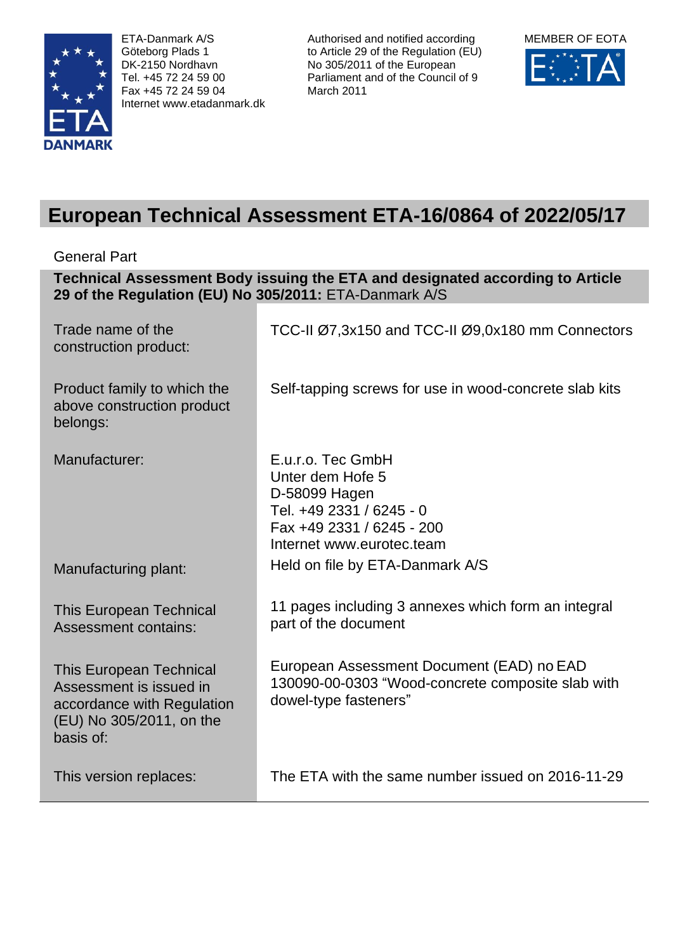

ETA-Danmark A/S Göteborg Plads 1 DK-2150 Nordhavn Tel. +45 72 24 59 00 Fax +45 72 24 59 04 Internet www.etadanmark.dk

Authorised and notified according to Article 29 of the Regulation (EU) No 305/2011 of the European Parliament and of the Council of 9 March 2011



# **European Technical Assessment ETA-16/0864 of 2022/05/17**

General Part

| Technical Assessment Body issuing the ETA and designated according to Article<br>29 of the Regulation (EU) No 305/2011: ETA-Danmark A/S |                                                                                                                                              |  |  |
|-----------------------------------------------------------------------------------------------------------------------------------------|----------------------------------------------------------------------------------------------------------------------------------------------|--|--|
| Trade name of the<br>construction product:                                                                                              | TCC-II Ø7,3x150 and TCC-II Ø9,0x180 mm Connectors                                                                                            |  |  |
| Product family to which the<br>above construction product<br>belongs:                                                                   | Self-tapping screws for use in wood-concrete slab kits                                                                                       |  |  |
| Manufacturer:                                                                                                                           | E.u.r.o. Tec GmbH<br>Unter dem Hofe 5<br>D-58099 Hagen<br>Tel. +49 2331 / 6245 - 0<br>Fax +49 2331 / 6245 - 200<br>Internet www.eurotec.team |  |  |
| Manufacturing plant:                                                                                                                    | Held on file by ETA-Danmark A/S                                                                                                              |  |  |
| <b>This European Technical</b><br><b>Assessment contains:</b>                                                                           | 11 pages including 3 annexes which form an integral<br>part of the document                                                                  |  |  |
| <b>This European Technical</b><br>Assessment is issued in<br>accordance with Regulation<br>(EU) No 305/2011, on the<br>basis of:        | European Assessment Document (EAD) no EAD<br>130090-00-0303 "Wood-concrete composite slab with<br>dowel-type fasteners"                      |  |  |
| This version replaces:                                                                                                                  | The ETA with the same number issued on 2016-11-29                                                                                            |  |  |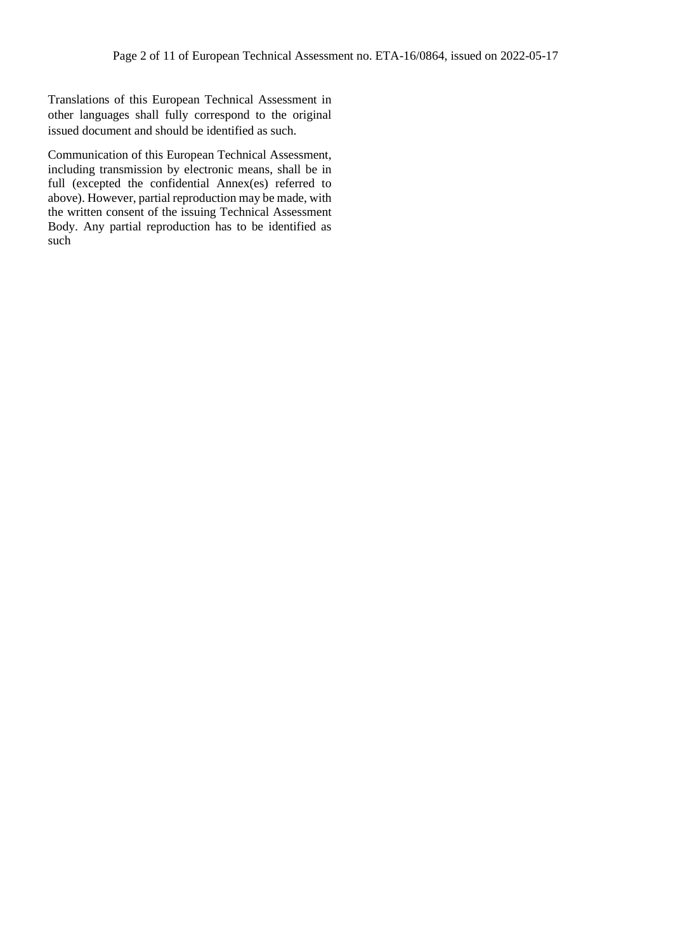Translations of this European Technical Assessment in other languages shall fully correspond to the original issued document and should be identified as such.

Communication of this European Technical Assessment, including transmission by electronic means, shall be in full (excepted the confidential Annex(es) referred to above). However, partial reproduction may be made, with the written consent of the issuing Technical Assessment Body. Any partial reproduction has to be identified as such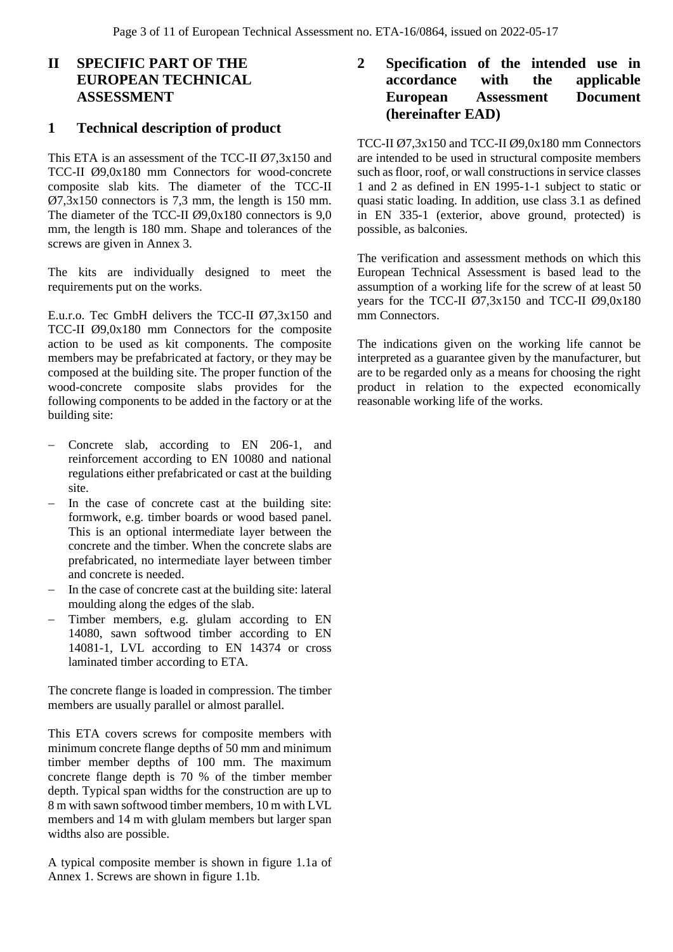# **II SPECIFIC PART OF THE EUROPEAN TECHNICAL ASSESSMENT**

# **1 Technical description of product**

This ETA is an assessment of the TCC-II Ø7,3x150 and TCC-II Ø9,0x180 mm Connectors for wood-concrete composite slab kits. The diameter of the TCC-II Ø7,3x150 connectors is 7,3 mm, the length is 150 mm. The diameter of the TCC-II Ø9,0x180 connectors is 9,0 mm, the length is 180 mm. Shape and tolerances of the screws are given in Annex 3.

The kits are individually designed to meet the requirements put on the works.

E.u.r.o. Tec GmbH delivers the TCC-II Ø7,3x150 and TCC-II Ø9,0x180 mm Connectors for the composite action to be used as kit components. The composite members may be prefabricated at factory, or they may be composed at the building site. The proper function of the wood-concrete composite slabs provides for the following components to be added in the factory or at the building site:

- − Concrete slab, according to EN 206-1, and reinforcement according to EN 10080 and national regulations either prefabricated or cast at the building site.
- − In the case of concrete cast at the building site: formwork, e.g. timber boards or wood based panel. This is an optional intermediate layer between the concrete and the timber. When the concrete slabs are prefabricated, no intermediate layer between timber and concrete is needed.
- In the case of concrete cast at the building site: lateral moulding along the edges of the slab.
- Timber members, e.g. glulam according to EN 14080, sawn softwood timber according to EN 14081-1, LVL according to EN 14374 or cross laminated timber according to ETA.

The concrete flange is loaded in compression. The timber members are usually parallel or almost parallel.

This ETA covers screws for composite members with minimum concrete flange depths of 50 mm and minimum timber member depths of 100 mm. The maximum concrete flange depth is 70 % of the timber member depth. Typical span widths for the construction are up to 8 m with sawn softwood timber members, 10 m with LVL members and 14 m with glulam members but larger span widths also are possible.

A typical composite member is shown in figure 1.1a of Annex 1. Screws are shown in figure 1.1b.

# **2 Specification of the intended use in accordance with the applicable European Assessment Document (hereinafter EAD)**

TCC-II Ø7,3x150 and TCC-II Ø9,0x180 mm Connectors are intended to be used in structural composite members such as floor, roof, or wall constructions in service classes 1 and 2 as defined in EN 1995-1-1 subject to static or quasi static loading. In addition, use class 3.1 as defined in EN 335-1 (exterior, above ground, protected) is possible, as balconies.

The verification and assessment methods on which this European Technical Assessment is based lead to the assumption of a working life for the screw of at least 50 years for the TCC-II  $\varnothing$ 7,3x150 and TCC-II  $\varnothing$ 9,0x180 mm Connectors.

The indications given on the working life cannot be interpreted as a guarantee given by the manufacturer, but are to be regarded only as a means for choosing the right product in relation to the expected economically reasonable working life of the works.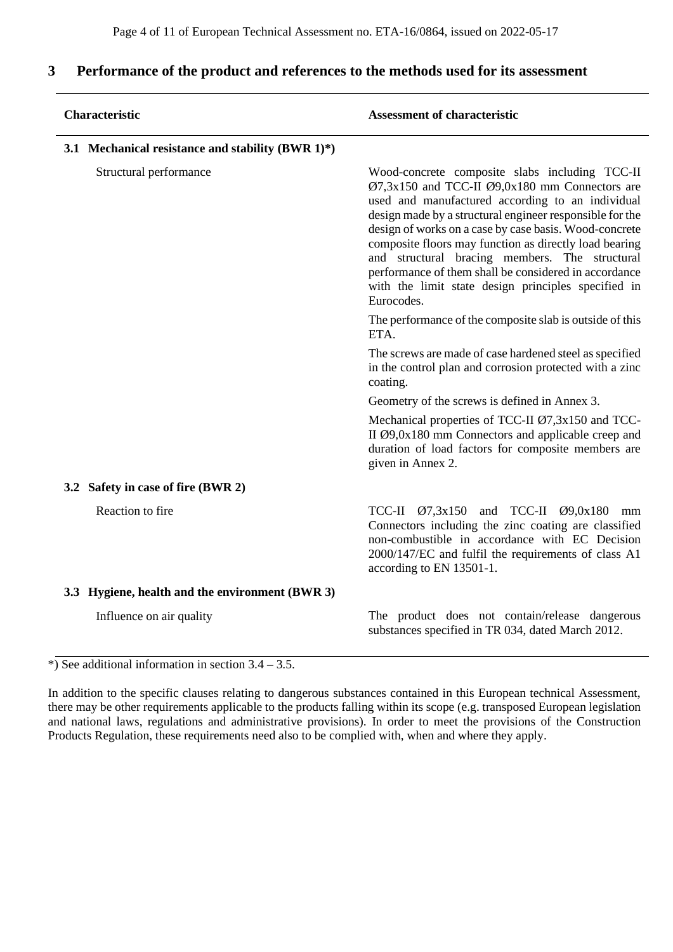# **3 Performance of the product and references to the methods used for its assessment**

|                                                 | Characteristic                                       | <b>Assessment of characteristic</b>                                                                                                                                                                                                                                                                                                                                                                                                                                                                                      |  |  |
|-------------------------------------------------|------------------------------------------------------|--------------------------------------------------------------------------------------------------------------------------------------------------------------------------------------------------------------------------------------------------------------------------------------------------------------------------------------------------------------------------------------------------------------------------------------------------------------------------------------------------------------------------|--|--|
|                                                 | 3.1 Mechanical resistance and stability (BWR $1)*$ ) |                                                                                                                                                                                                                                                                                                                                                                                                                                                                                                                          |  |  |
| Structural performance                          |                                                      | Wood-concrete composite slabs including TCC-II<br>$Ø7,3x150$ and TCC-II $Ø9,0x180$ mm Connectors are<br>used and manufactured according to an individual<br>design made by a structural engineer responsible for the<br>design of works on a case by case basis. Wood-concrete<br>composite floors may function as directly load bearing<br>and structural bracing members. The structural<br>performance of them shall be considered in accordance<br>with the limit state design principles specified in<br>Eurocodes. |  |  |
|                                                 |                                                      | The performance of the composite slab is outside of this<br>ETA.                                                                                                                                                                                                                                                                                                                                                                                                                                                         |  |  |
|                                                 |                                                      | The screws are made of case hardened steel as specified<br>in the control plan and corrosion protected with a zinc<br>coating.                                                                                                                                                                                                                                                                                                                                                                                           |  |  |
|                                                 |                                                      | Geometry of the screws is defined in Annex 3.                                                                                                                                                                                                                                                                                                                                                                                                                                                                            |  |  |
|                                                 |                                                      | Mechanical properties of TCC-II Ø7,3x150 and TCC-<br>II $\emptyset$ 9,0x180 mm Connectors and applicable creep and<br>duration of load factors for composite members are<br>given in Annex 2.                                                                                                                                                                                                                                                                                                                            |  |  |
|                                                 | 3.2 Safety in case of fire (BWR 2)                   |                                                                                                                                                                                                                                                                                                                                                                                                                                                                                                                          |  |  |
|                                                 | Reaction to fire                                     | TCC-II $\varnothing$ 7,3x150 and TCC-II $\varnothing$ 9,0x180<br>mm<br>Connectors including the zinc coating are classified<br>non-combustible in accordance with EC Decision<br>2000/147/EC and fulfil the requirements of class A1<br>according to EN 13501-1.                                                                                                                                                                                                                                                         |  |  |
| 3.3 Hygiene, health and the environment (BWR 3) |                                                      |                                                                                                                                                                                                                                                                                                                                                                                                                                                                                                                          |  |  |
|                                                 | Influence on air quality                             | The product does not contain/release dangerous<br>substances specified in TR 034, dated March 2012.                                                                                                                                                                                                                                                                                                                                                                                                                      |  |  |

 $\overline{\bullet}$ ) See additional information in section 3.4 – 3.5.

In addition to the specific clauses relating to dangerous substances contained in this European technical Assessment, there may be other requirements applicable to the products falling within its scope (e.g. transposed European legislation and national laws, regulations and administrative provisions). In order to meet the provisions of the Construction Products Regulation, these requirements need also to be complied with, when and where they apply.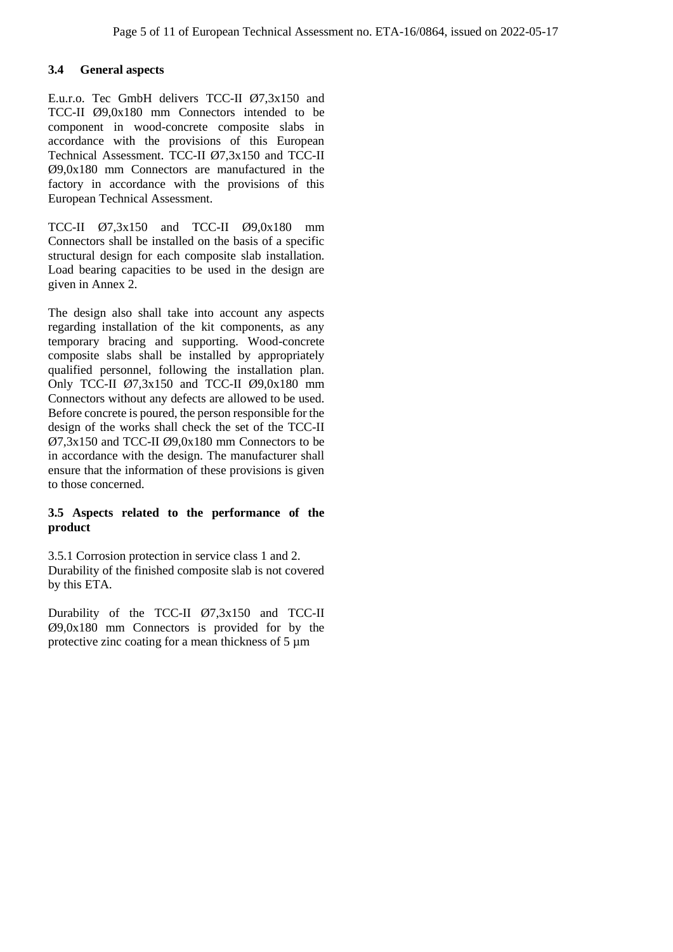## **3.4 General aspects**

E.u.r.o. Tec GmbH delivers TCC-II Ø7,3x150 and TCC-II Ø9,0x180 mm Connectors intended to be component in wood-concrete composite slabs in accordance with the provisions of this European Technical Assessment. TCC-II Ø7,3x150 and TCC-II Ø9,0x180 mm Connectors are manufactured in the factory in accordance with the provisions of this European Technical Assessment.

TCC-II Ø7,3x150 and TCC-II Ø9,0x180 mm Connectors shall be installed on the basis of a specific structural design for each composite slab installation. Load bearing capacities to be used in the design are given in Annex 2.

The design also shall take into account any aspects regarding installation of the kit components, as any temporary bracing and supporting. Wood-concrete composite slabs shall be installed by appropriately qualified personnel, following the installation plan. Only TCC-II  $\varnothing$ 7,3x150 and TCC-II  $\varnothing$ 9,0x180 mm Connectors without any defects are allowed to be used. Before concrete is poured, the person responsible for the design of the works shall check the set of the TCC-II  $\varnothing$ 7,3x150 and TCC-II  $\varnothing$ 9,0x180 mm Connectors to be in accordance with the design. The manufacturer shall ensure that the information of these provisions is given to those concerned.

## **3.5 Aspects related to the performance of the product**

3.5.1 Corrosion protection in service class 1 and 2. Durability of the finished composite slab is not covered by this ETA.

Durability of the TCC-II Ø7,3x150 and TCC-II Ø9,0x180 mm Connectors is provided for by the protective zinc coating for a mean thickness of 5 µm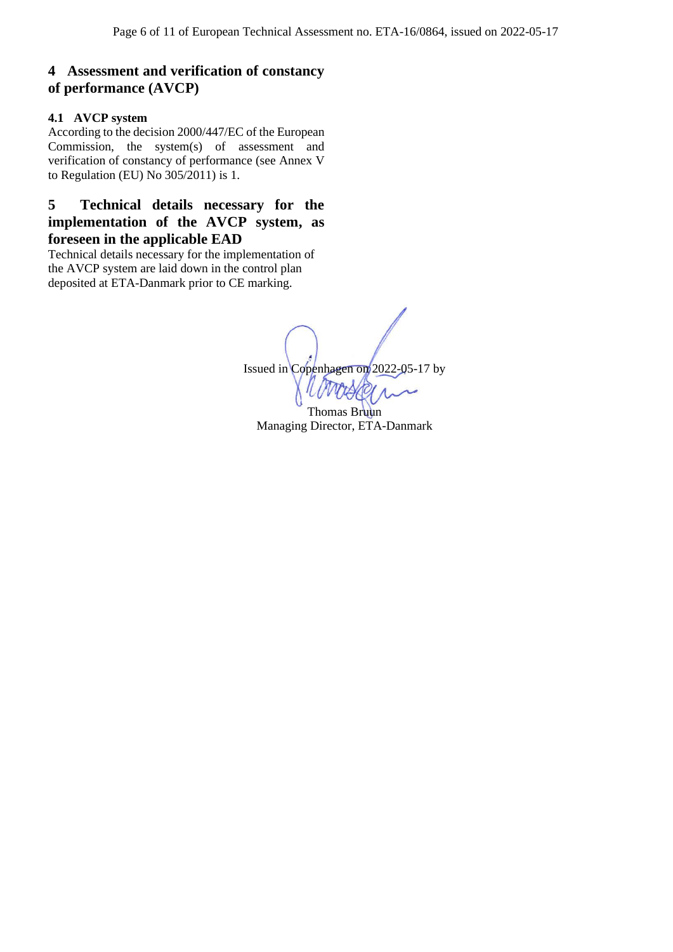# **4 Assessment and verification of constancy of performance (AVCP)**

## **4.1 AVCP system**

According to the decision 2000/447/EC of the European Commission, the system(s) of assessment and verification of constancy of performance (see Annex V to Regulation (EU) No 305/2011) is 1.

**5 Technical details necessary for the implementation of the AVCP system, as foreseen in the applicable EAD**

Technical details necessary for the implementation of the AVCP system are laid down in the control plan deposited at ETA-Danmark prior to CE marking.

Issued in Copenhagen on 2022-05-17 by

Thomas Bruun Managing Director, ETA-Danmark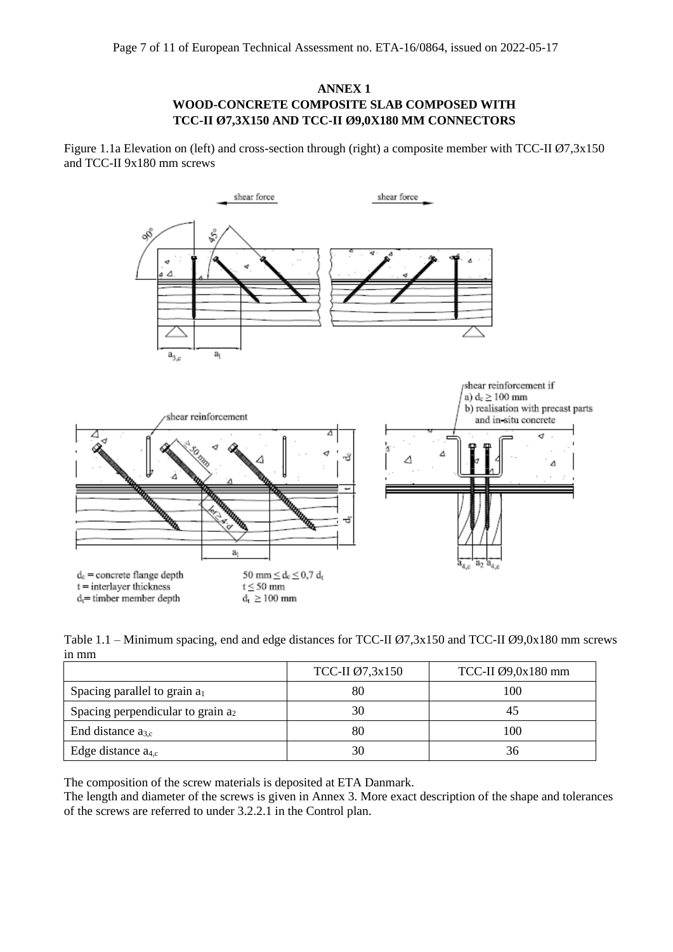## **ANNEX 1 WOOD-CONCRETE COMPOSITE SLAB COMPOSED WITH TCC-II Ø7,3X150 AND TCC-II Ø9,0X180 MM CONNECTORS**

Figure 1.1a Elevation on (left) and cross-section through (right) a composite member with TCC-II Ø7,3x150 and TCC-II 9x180 mm screws



Table 1.1 – Minimum spacing, end and edge distances for TCC-II Ø7,3x150 and TCC-II Ø9,0x180 mm screws in mm

|                                      | TCC-II Ø7,3x150 | TCC-II $\varnothing$ 9,0x180 mm |
|--------------------------------------|-----------------|---------------------------------|
| Spacing parallel to grain $a_1$      |                 | 100                             |
| Spacing perpendicular to grain $a_2$ | 30              |                                 |
| End distance $a_{3,c}$               | 80              | 100                             |
| Edge distance $a_{4,c}$              | 30              | 36                              |

The composition of the screw materials is deposited at ETA Danmark.

The length and diameter of the screws is given in Annex 3. More exact description of the shape and tolerances of the screws are referred to under 3.2.2.1 in the Control plan.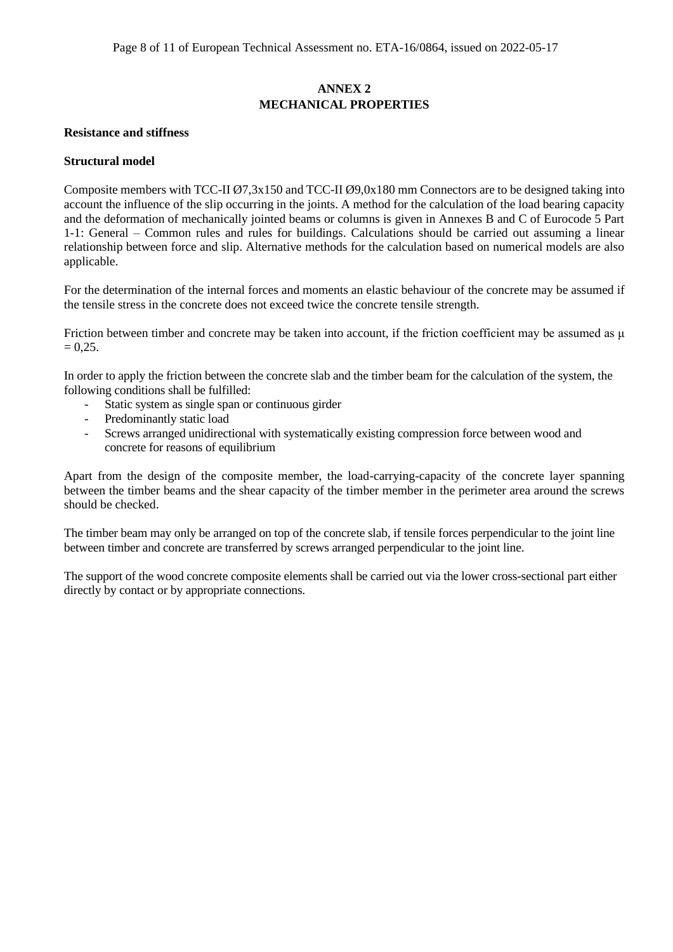## **ANNEX 2 MECHANICAL PROPERTIES**

#### **Resistance and stiffness**

#### **Structural model**

Composite members with TCC-II Ø7,3x150 and TCC-II Ø9,0x180 mm Connectors are to be designed taking into account the influence of the slip occurring in the joints. A method for the calculation of the load bearing capacity and the deformation of mechanically jointed beams or columns is given in Annexes B and C of Eurocode 5 Part 1-1: General – Common rules and rules for buildings. Calculations should be carried out assuming a linear relationship between force and slip. Alternative methods for the calculation based on numerical models are also applicable.

For the determination of the internal forces and moments an elastic behaviour of the concrete may be assumed if the tensile stress in the concrete does not exceed twice the concrete tensile strength.

Friction between timber and concrete may be taken into account, if the friction coefficient may be assumed as μ  $= 0.25.$ 

In order to apply the friction between the concrete slab and the timber beam for the calculation of the system, the following conditions shall be fulfilled:

- Static system as single span or continuous girder
- Predominantly static load
- Screws arranged unidirectional with systematically existing compression force between wood and concrete for reasons of equilibrium

Apart from the design of the composite member, the load-carrying-capacity of the concrete layer spanning between the timber beams and the shear capacity of the timber member in the perimeter area around the screws should be checked.

The timber beam may only be arranged on top of the concrete slab, if tensile forces perpendicular to the joint line between timber and concrete are transferred by screws arranged perpendicular to the joint line.

The support of the wood concrete composite elements shall be carried out via the lower cross-sectional part either directly by contact or by appropriate connections.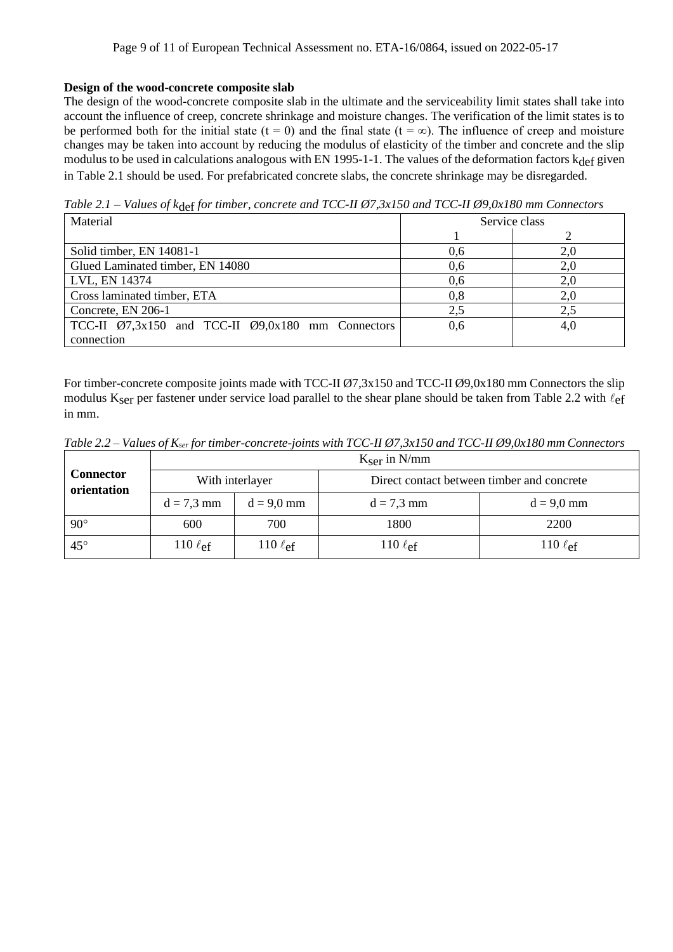### **Design of the wood-concrete composite slab**

The design of the wood-concrete composite slab in the ultimate and the serviceability limit states shall take into account the influence of creep, concrete shrinkage and moisture changes. The verification of the limit states is to be performed both for the initial state (t = 0) and the final state (t =  $\infty$ ). The influence of creep and moisture changes may be taken into account by reducing the modulus of elasticity of the timber and concrete and the slip modulus to be used in calculations analogous with EN 1995-1-1. The values of the deformation factors kdef given in Table 2.1 should be used. For prefabricated concrete slabs, the concrete shrinkage may be disregarded.

*Table 2.1 – Values of k*def *for timber, concrete and TCC-II Ø7,3x150 and TCC-II Ø9,0x180 mm Connectors*

| Material                                                                    | Service class |     |
|-----------------------------------------------------------------------------|---------------|-----|
|                                                                             |               |     |
| Solid timber, EN 14081-1                                                    | 0,6           |     |
| Glued Laminated timber, EN 14080                                            | 0,6           | 2,0 |
| LVL, EN 14374                                                               | 0,6           | 2,0 |
| Cross laminated timber, ETA                                                 | 0,8           | 2,0 |
| Concrete, EN 206-1                                                          | 2,5           | 2,5 |
| TCC-II $\varnothing$ 7,3x150 and TCC-II $\varnothing$ 9,0x180 mm Connectors | 0,6           | 4,0 |
| connection                                                                  |               |     |

For timber-concrete composite joints made with TCC-II Ø7,3x150 and TCC-II Ø9,0x180 mm Connectors the slip modulus Kser per fastener under service load parallel to the shear plane should be taken from Table 2.2 with  $\ell_{\rm ef}$ in mm.

*Table 2.2 – Values of Kser for timber-concrete-joints with TCC-II Ø7,3x150 and TCC-II Ø9,0x180 mm Connectors*

|                                 | $K_{\text{ser}}$ in N/mm |                        |                                            |               |
|---------------------------------|--------------------------|------------------------|--------------------------------------------|---------------|
| <b>Connector</b><br>orientation | With interlayer          |                        | Direct contact between timber and concrete |               |
|                                 | $d = 7.3$ mm             | $d = 9.0$ mm           | $d = 7.3$ mm                               | $d = 9.0$ mm  |
| $90^\circ$                      | 600                      | 700                    | 1800                                       | 2200          |
| $45^{\circ}$                    | 110 $\ell_{\text{ef}}$   | 110 $\ell_{\text{ef}}$ | 110 $\ell$ ef                              | 110 $\ell$ ef |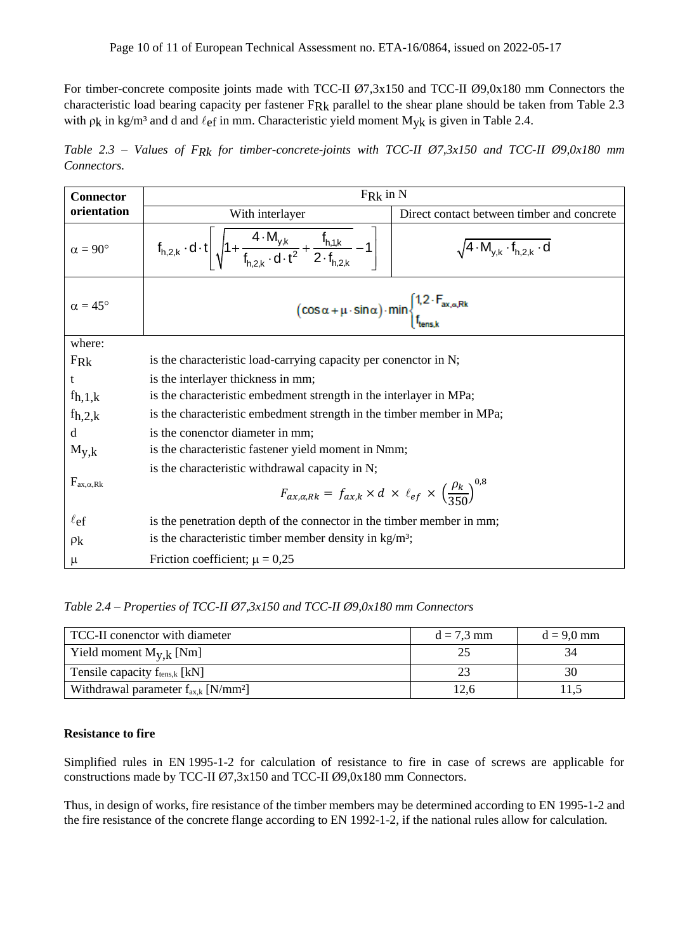For timber-concrete composite joints made with TCC-II Ø7,3x150 and TCC-II Ø9,0x180 mm Connectors the characteristic load bearing capacity per fastener FRk parallel to the shear plane should be taken from Table 2.3 with  $\rho_k$  in kg/m<sup>3</sup> and d and  $\ell_{ef}$  in mm. Characteristic yield moment M<sub>yk</sub> is given in Table 2.4.

*Table 2.3 – Values of FRk for timber-concrete-joints with TCC-II Ø7,3x150 and TCC-II Ø9,0x180 mm Connectors.* 

| <b>Connector</b>      | $F_{Rk}$ in N                                                                                                                                            |                                                  |  |  |
|-----------------------|----------------------------------------------------------------------------------------------------------------------------------------------------------|--------------------------------------------------|--|--|
| orientation           | With interlayer                                                                                                                                          | Direct contact between timber and concrete       |  |  |
| $\alpha = 90^{\circ}$ | $f_{h,2,k} \cdot d \cdot t \left  \sqrt{1 + \frac{4 \cdot M_{y,k}}{f_{h,2k} \cdot d \cdot t^2} + \frac{f_{h,1,k}}{2 \cdot f_{h,2k}}} - 1 \right $        | $\sqrt{4 \cdot M_{y,k} \cdot f_{h,2,k} \cdot d}$ |  |  |
| $\alpha = 45^{\circ}$ | $\left(\cos\alpha+\mu\cdot\sin\alpha\right)\cdot\min\begin{cases}1,2\cdot\Gamma_{ax,\alpha,Rk}\\f_{tens,k}\end{cases}$                                   |                                                  |  |  |
| where:                |                                                                                                                                                          |                                                  |  |  |
| FR <sub>k</sub>       | is the characteristic load-carrying capacity per conenctor in N;                                                                                         |                                                  |  |  |
| t                     | is the interlayer thickness in mm;                                                                                                                       |                                                  |  |  |
| $f_{h,1,k}$           | is the characteristic embedment strength in the interlayer in MPa;                                                                                       |                                                  |  |  |
| $f_{h,2,k}$           | is the characteristic embedment strength in the timber member in MPa;                                                                                    |                                                  |  |  |
| <sub>d</sub>          | is the conenctor diameter in mm;                                                                                                                         |                                                  |  |  |
| $M_{y,k}$             | is the characteristic fastener yield moment in Nmm;                                                                                                      |                                                  |  |  |
| $F_{ax,\alpha,Rk}$    | is the characteristic withdrawal capacity in N;<br>$F_{ax,\alpha, Rk} = f_{ax,k} \times d \times \ell_{ef} \times \left(\frac{\rho_k}{350}\right)^{0.8}$ |                                                  |  |  |
| $\ell_{\text{ef}}$    | is the penetration depth of the connector in the timber member in mm;                                                                                    |                                                  |  |  |
| $\rho_{\rm k}$        | is the characteristic timber member density in $kg/m^3$ ;                                                                                                |                                                  |  |  |
| $\mu$                 | Friction coefficient; $\mu = 0.25$                                                                                                                       |                                                  |  |  |

*Table 2.4 – Properties of TCC-II Ø7,3x150 and TCC-II Ø9,0x180 mm Connectors*

| TCC-II conenctor with diameter                       | $d = 7.3$ mm | $d = 9.0$ mm |
|------------------------------------------------------|--------------|--------------|
| Yield moment $M_{V,k}$ [Nm]                          |              | 34           |
| Tensile capacity $f_{tens,k}$ [kN]                   |              | 30           |
| Withdrawal parameter $f_{ax,k}$ [N/mm <sup>2</sup> ] | 12.6         |              |

#### **Resistance to fire**

Simplified rules in EN 1995-1-2 for calculation of resistance to fire in case of screws are applicable for constructions made by TCC-II Ø7,3x150 and TCC-II Ø9,0x180 mm Connectors.

Thus, in design of works, fire resistance of the timber members may be determined according to EN 1995-1-2 and the fire resistance of the concrete flange according to EN 1992-1-2, if the national rules allow for calculation.